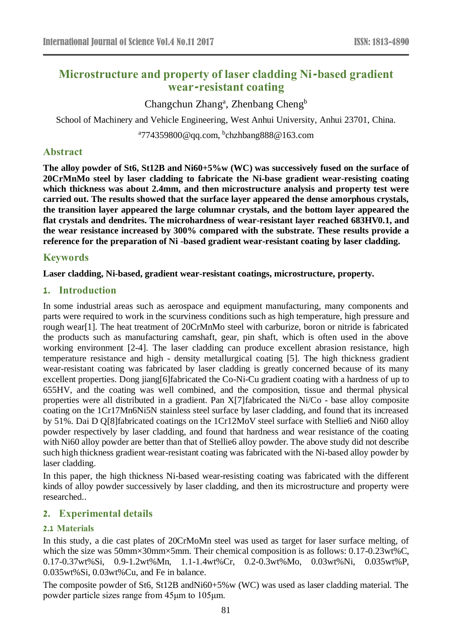# **Microstructure and property of laser cladding Ni-based gradient wear-resistant coating**

Changchun Zhang<sup>a</sup>, Zhenbang Cheng<sup>b</sup>

School of Machinery and Vehicle Engineering, West Anhui University, Anhui 23701, China.

<sup>a</sup>774359800@qq.com, <sup>b</sup>chzhbang888@163.com

### **Abstract**

**The alloy powder of St6, St12B and Ni60+5%w (WC) was successively fused on the surface of 20CrMnMo steel by laser cladding to fabricate the Ni-base gradient wear-resisting coating which thickness was about 2.4mm, and then microstructure analysis and property test were carried out. The results showed that the surface layer appeared the dense amorphous crystals, the transition layer appeared the large columnar crystals, and the bottom layer appeared the flat crystals and dendrites. The microhardness of wear-resistant layer reached 683HV0.1, and the wear resistance increased by 300% compared with the substrate. These results provide a reference for the preparation of Ni -based gradient wear-resistant coating by laser cladding.**

## **Keywords**

#### **Laser cladding, Ni-based, gradient wear-resistant coatings, microstructure, property.**

### **1. Introduction**

In some industrial areas such as aerospace and equipment manufacturing, many components and parts were required to work in the scurviness conditions such as high temperature, high pressure and rough wear[1]. The heat treatment of 20CrMnMo steel with carburize, boron or nitride is fabricated the products such as manufacturing camshaft, gear, pin shaft, which is often used in the above working environment [2-4]. The laser cladding can produce excellent abrasion resistance, high temperature resistance and high - density metallurgical coating [5]. The high thickness gradient wear-resistant coating was fabricated by laser cladding is greatly concerned because of its many excellent properties. Dong jiang[6]fabricated the Co-Ni-Cu gradient coating with a hardness of up to 655HV, and the coating was well combined, and the composition, tissue and thermal physical properties were all distributed in a gradient. Pan X[7]fabricated the Ni/Co - base alloy composite coating on the 1Cr17Mn6Ni5N stainless steel surface by laser cladding, and found that its increased by 51%. Dai D Q[8]fabricated coatings on the 1Cr12MoV steel surface with Stellie6 and Ni60 alloy powder respectively by laser cladding, and found that hardness and wear resistance of the coating with Ni60 alloy powder are better than that of Stellie6 alloy powder. The above study did not describe such high thickness gradient wear-resistant coating was fabricated with the Ni-based alloy powder by laser cladding.

In this paper, the high thickness Ni-based wear-resisting coating was fabricated with the different kinds of alloy powder successively by laser cladding, and then its microstructure and property were researched..

### **2. Experimental details**

#### **2.1 Materials**

In this study, a die cast plates of 20CrMoMn steel was used as target for laser surface melting, of which the size was 50mm×30mm×5mm. Their chemical composition is as follows: 0.17-0.23wt%C, 0.17-0.37wt%Si, 0.9-1.2wt%Mn, 1.1-1.4wt%Cr, 0.2-0.3wt%Mo, 0.03wt%Ni, 0.035wt%P, 0.035wt%Si, 0.03wt%Cu, and Fe in balance.

The composite powder of St6, St12B andNi60+5%w (WC) was used as laser cladding material. The powder particle sizes range from 45μm to 105μm.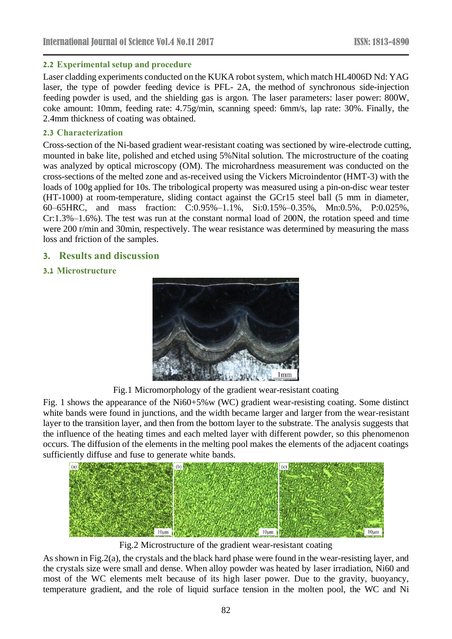#### **2.2 Experimental setup and procedure**

Laser cladding experiments conducted on the KUKA robot system, which match HL4006D Nd: YAG laser, the type of powder feeding device is PFL- 2A, the method of synchronous side-injection feeding powder is used, and the shielding gas is argon. The laser parameters: laser power: 800W, coke amount: 10mm, feeding rate: 4.75g/min, scanning speed: 6mm/s, lap rate: 30%. Finally, the 2.4mm thickness of coating was obtained.

#### **2.3 Characterization**

Cross-section of the Ni-based gradient wear-resistant coating was sectioned by wire-electrode cutting, mounted in bake lite, polished and etched using 5%Nital solution. The microstructure of the coating was analyzed by optical microscopy (OM). The microhardness measurement was conducted on the cross-sections of the melted zone and as-received using the Vickers Microindentor (HMT-3) with the loads of 100g applied for 10s. The tribological property was measured using a pin-on-disc wear tester (HT-1000) at room-temperature, sliding contact against the GCr15 steel ball (5 mm in diameter, 60–65HRC, and mass fraction: C:0.95%–1.1%, Si:0.15%–0.35%, Mn:0.5%, P:0.025%, Cr:1.3%–1.6%). The test was run at the constant normal load of 200N, the rotation speed and time were 200 r/min and 30min, respectively. The wear resistance was determined by measuring the mass loss and friction of the samples.

#### **3. Results and discussion**

#### **3.1 Microstructure**



Fig.1 Micromorphology of the gradient wear-resistant coating

Fig. 1 shows the appearance of the Ni60+5%w (WC) gradient wear-resisting coating. Some distinct white bands were found in junctions, and the width became larger and larger from the wear-resistant layer to the transition layer, and then from the bottom layer to the substrate. The analysis suggests that the influence of the heating times and each melted layer with different powder, so this phenomenon occurs. The diffusion of the elements in the melting pool makes the elements of the adjacent coatings sufficiently diffuse and fuse to generate white bands.



Fig.2 Microstructure of the gradient wear-resistant coating

As shown in Fig.2(a), the crystals and the black hard phase were found in the wear-resisting layer, and the crystals size were small and dense. When alloy powder was heated by laser irradiation, Ni60 and most of the WC elements melt because of its high laser power. Due to the gravity, buoyancy, temperature gradient, and the role of liquid surface tension in the molten pool, the WC and Ni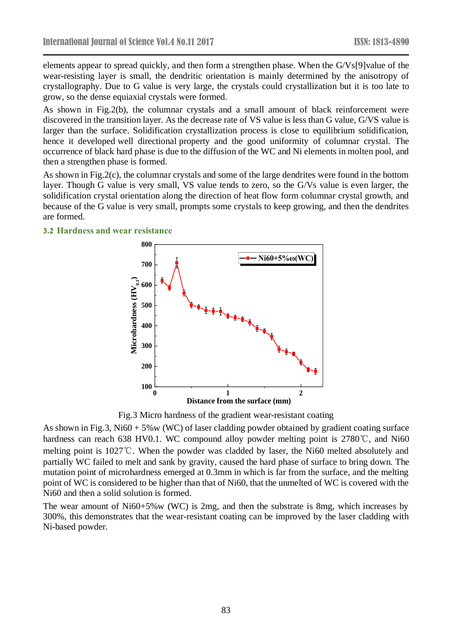elements appear to spread [quickl](javascript:;)y, and then form a strengthen phase. When the G/Vs[9]value of the wear-resisting layer is small, the dendritic orientation is mainly determined by the anisotropy of crystallography. Due to G value is very large, the [crystals](file:///D:/Program%20Files/Youdao/Dict/7.3.0.0807/resultui/dict/) could crystallization but it is too late to grow, so the dense equiaxial crystals were formed.

As shown in Fig.2(b), the columnar crystals and a small amount of black reinforcement were discovered in the transition layer. As the decrease rate of VS value [is less than](javascript:;) G value, G/VS value is larger than the surface. Solidification crystallization process is close to equilibrium solidification, hence it developed well directional property and the good uniformity of columnar crystal. The occurrence of black hard phase is due to the diffusion of the WC and Ni elements in molten pool, and then a strengthen phase is formed.

As shown in Fig.2(c), the columnar crystals and some of the large dendrites were found in the bottom layer. Though G value is very small, VS value tends to zero, so the G/Vs value is even larger, the solidification crystal orientation along the direction of heat flow form columnar crystal growth, and because of the G value is very small, prompts some crystals to keep growing, and then the dendrites are formed.

#### **3.2 Hardness and wear resistance**



Fig.3 Micro hardness of the gradient wear-resistant coating

As shown in Fig.3, Ni60 + 5%w (WC) of laser cladding powder obtained by gradient coating surface hardness can reach 638 HV0.1. WC compound alloy powder melting point is 2780℃, and Ni60 melting point is 1027℃. When the powder was cladded by laser, the Ni60 melted absolutely and partially WC failed to melt and sank by gravity, caused the hard phase of surface to bring down. The mutation point of microhardness emerged at 0.3mm in which is far from the surface, and the melting point of WC is considered to be higher than that of Ni60, that the unmelted of WC is covered with the Ni60 and then a solid solution is formed.

The wear amount of Ni60+5%w (WC) is 2mg, and then the substrate is 8mg, which increases by 300%, this demonstrates that the wear-resistant coating can be improved by the laser cladding with Ni-based powder.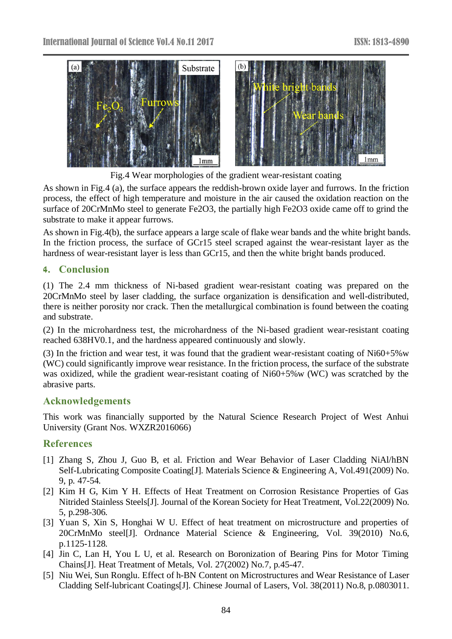



Fig.4 Wear morphologies of the gradient wear-resistant coating

As shown in Fig.4 (a), the surface appears the reddish-brown oxide layer and furrows. In the friction process, the effect of high temperature and moisture in the air caused the oxidation reaction on the surface of 20CrMnMo steel to generate Fe2O3, the partially high Fe2O3 oxide came off to grind the substrate to make it appear furrows.

As shown in Fig.4(b), the surface appears a large scale of flake wear bands and the white bright bands. In the friction process, the surface of GCr15 steel scraped against the wear-resistant layer as the hardness of wear-resistant layer is less than GCr15, and then the white bright bands produced.

## **4. Conclusion**

(1) The 2.4 mm thickness of Ni-based gradient wear-resistant coating was prepared on the 20CrMnMo steel by laser cladding, the surface organization is densification and well-distributed, there is neither porosity nor crack. Then the metallurgical combination is found between the coating and substrate.

(2) In the microhardness test, the microhardness of the Ni-based gradient wear-resistant coating reached 638HV0.1, and the hardness appeared continuously and slowly.

(3) In the friction and wear test, it was found that the gradient wear-resistant coating of Ni60+5%w (WC) could significantly improve wear resistance. In the friction process, the surface of the substrate was oxidized, while the gradient wear-resistant coating of Ni60+5%w (WC) was scratched by the abrasive parts.

## **Acknowledgements**

This work was financially supported by the Natural Science Research Project of West Anhui University (Grant Nos. WXZR2016066)

# **References**

- [1] Zhang S, Zhou J, Guo B, et al. Friction and Wear Behavior of Laser Cladding NiAl/hBN Self-Lubricating Composite Coating[J]. Materials Science & Engineering A, Vol.491(2009) No. 9, p. 47-54.
- [2] Kim H G, Kim Y H. Effects of Heat Treatment on Corrosion Resistance Properties of Gas Nitrided Stainless Steels[J]. Journal of the Korean Society for Heat Treatment, Vol.22(2009) No. 5, p.298-306.
- [3] Yuan S, Xin S, Honghai W U. Effect of heat treatment on microstructure and properties of 20CrMnMo steel[J]. Ordnance Material Science & Engineering, Vol. 39(2010) No.6, p.1125-1128.
- [4] Jin C, Lan H, You L U, et al. Research on Boronization of Bearing Pins for Motor Timing Chains[J]. Heat Treatment of Metals, Vol. 27(2002) No.7, p.45-47.
- [5] Niu Wei, Sun Ronglu. Effect of h-BN Content on Microstructures and Wear Resistance of Laser Cladding Self-lubricant Coatings[J]. Chinese Journal of Lasers, Vol. 38(2011) No.8, p.0803011.